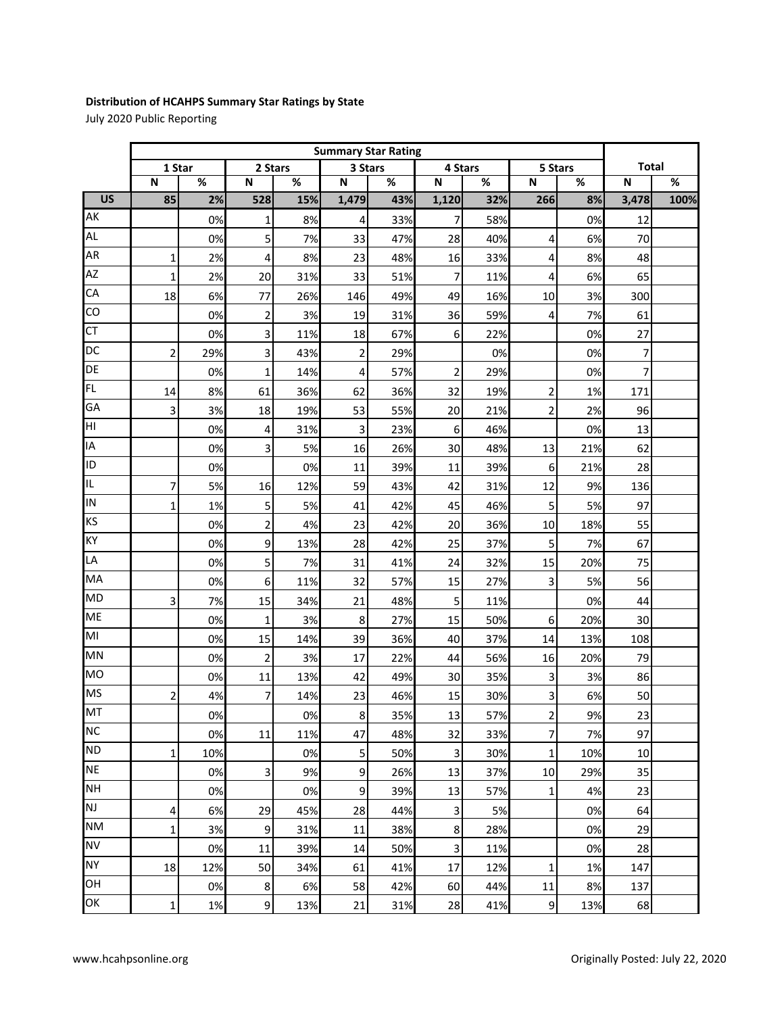## **Distribution of HCAHPS Summary Star Ratings by State**

July 2020 Public Reporting

|                 |        | <b>Summary Star Rating</b> |                         |     |                  |     |                         |     |                  |     |                |      |
|-----------------|--------|----------------------------|-------------------------|-----|------------------|-----|-------------------------|-----|------------------|-----|----------------|------|
|                 | 1 Star |                            | 2 Stars                 |     | 3 Stars          |     | 4 Stars                 |     | 5 Stars          |     | <b>Total</b>   |      |
|                 | N      | %                          | N                       | %   | N                | %   | N                       | %   | N                | %   | N              | $\%$ |
| $\overline{US}$ | 85     | 2%                         | 528                     | 15% | 1,479            | 43% | 1,120                   | 32% | 266              | 8%  | 3,478          | 100% |
| AK              |        | 0%                         | 1                       | 8%  | 4                | 33% | 7                       | 58% |                  | 0%  | 12             |      |
| AL              |        | 0%                         | 5                       | 7%  | 33               | 47% | 28                      | 40% | 4                | 6%  | 70             |      |
| AR              | 1      | 2%                         | 4                       | 8%  | 23               | 48% | 16                      | 33% | 4                | 8%  | 48             |      |
| AZ              | 1      | 2%                         | 20                      | 31% | 33               | 51% | 7                       | 11% | 4                | 6%  | 65             |      |
| CA              | 18     | 6%                         | 77                      | 26% | 146              | 49% | 49                      | 16% | 10               | 3%  | 300            |      |
| CO              |        | 0%                         | $\overline{2}$          | 3%  | 19               | 31% | 36                      | 59% | 4                | 7%  | 61             |      |
| <b>CT</b>       |        | 0%                         | 3                       | 11% | 18               | 67% | 6                       | 22% |                  | 0%  | 27             |      |
| DC              | 2      | 29%                        | 3                       | 43% | $\overline{2}$   | 29% |                         | 0%  |                  | 0%  | 7              |      |
| DE              |        | 0%                         | 1                       | 14% | 4                | 57% | $\overline{\mathbf{c}}$ | 29% |                  | 0%  | $\overline{7}$ |      |
| FL              | 14     | 8%                         | 61                      | 36% | 62               | 36% | 32                      | 19% | $\overline{2}$   | 1%  | 171            |      |
| GA              | 3      | 3%                         | 18                      | 19% | 53               | 55% | 20                      | 21% | $\overline{2}$   | 2%  | 96             |      |
| HI              |        | 0%                         | 4                       | 31% | $\mathsf 3$      | 23% | 6                       | 46% |                  | 0%  | 13             |      |
| IA              |        | 0%                         | 3                       | 5%  | 16               | 26% | 30                      | 48% | 13               | 21% | 62             |      |
| ID              |        | 0%                         |                         | 0%  | 11               | 39% | 11                      | 39% | 6                | 21% | 28             |      |
| IL.             | 7      | 5%                         | 16                      | 12% | 59               | 43% | 42                      | 31% | 12               | 9%  | 136            |      |
| IN              | 1      | 1%                         | 5                       | 5%  | 41               | 42% | 45                      | 46% | 5                | 5%  | 97             |      |
| KS              |        | 0%                         | $\overline{\mathbf{c}}$ | 4%  | 23               | 42% | 20                      | 36% | 10               | 18% | 55             |      |
| KY              |        | 0%                         | 9                       | 13% | 28               | 42% | 25                      | 37% | 5                | 7%  | 67             |      |
| LA              |        | 0%                         | 5                       | 7%  | 31               | 41% | 24                      | 32% | 15               | 20% | 75             |      |
| MA              |        | 0%                         | 6                       | 11% | 32               | 57% | 15                      | 27% | $\mathsf 3$      | 5%  | 56             |      |
| <b>MD</b>       | 3      | 7%                         | 15                      | 34% | 21               | 48% | 5                       | 11% |                  | 0%  | 44             |      |
| ME              |        | 0%                         | 1                       | 3%  | 8                | 27% | 15                      | 50% | 6                | 20% | 30             |      |
| MI              |        | 0%                         | 15                      | 14% | 39               | 36% | 40                      | 37% | 14               | 13% | 108            |      |
| <b>MN</b>       |        | 0%                         | $\overline{2}$          | 3%  | 17               | 22% | 44                      | 56% | 16               | 20% | 79             |      |
| <b>MO</b>       |        | 0%                         | 11                      | 13% | 42               | 49% | 30                      | 35% | 3                | 3%  | 86             |      |
| <b>MS</b>       | 2      | 4%                         | 7                       | 14% | 23               | 46% | 15                      | 30% | 3                | 6%  | 50             |      |
| MT              |        | 0%                         |                         | 0%  | $\boldsymbol{8}$ | 35% | 13                      | 57% | $\overline{c}$   | 9%  | 23             |      |
| <b>NC</b>       |        | 0%                         | 11                      | 11% | 47               | 48% | 32                      | 33% | $\overline{7}$   | 7%  | 97             |      |
| <b>ND</b>       | 1      | 10%                        |                         | 0%  | $\mathsf S$      | 50% | $\mathbf{3}$            | 30% | $\mathbf{1}$     | 10% | 10             |      |
| <b>NE</b>       |        | 0%                         | 3                       | 9%  | 9                | 26% | 13                      | 37% | 10               | 29% | 35             |      |
| <b>NH</b>       |        | 0%                         |                         | 0%  | 9                | 39% | 13                      | 57% | 1                | 4%  | 23             |      |
| <b>NJ</b>       | 4      | 6%                         | 29                      | 45% | 28               | 44% | 3                       | 5%  |                  | 0%  | 64             |      |
| <b>NM</b>       | 1      | 3%                         | 9                       | 31% | 11               | 38% | 8                       | 28% |                  | 0%  | 29             |      |
| <b>NV</b>       |        | 0%                         | 11                      | 39% | 14               | 50% | 3                       | 11% |                  | 0%  | 28             |      |
| <b>NY</b>       | 18     | 12%                        | 50                      | 34% | 61               | 41% | 17                      | 12% | 1                | 1%  | 147            |      |
| OH              |        | 0%                         | $\bf 8$                 | 6%  | 58               | 42% | 60                      | 44% | 11               | 8%  | 137            |      |
| OK              | 1      | 1%                         | $\boldsymbol{9}$        | 13% | 21               | 31% | 28                      | 41% | $\boldsymbol{9}$ | 13% | 68             |      |